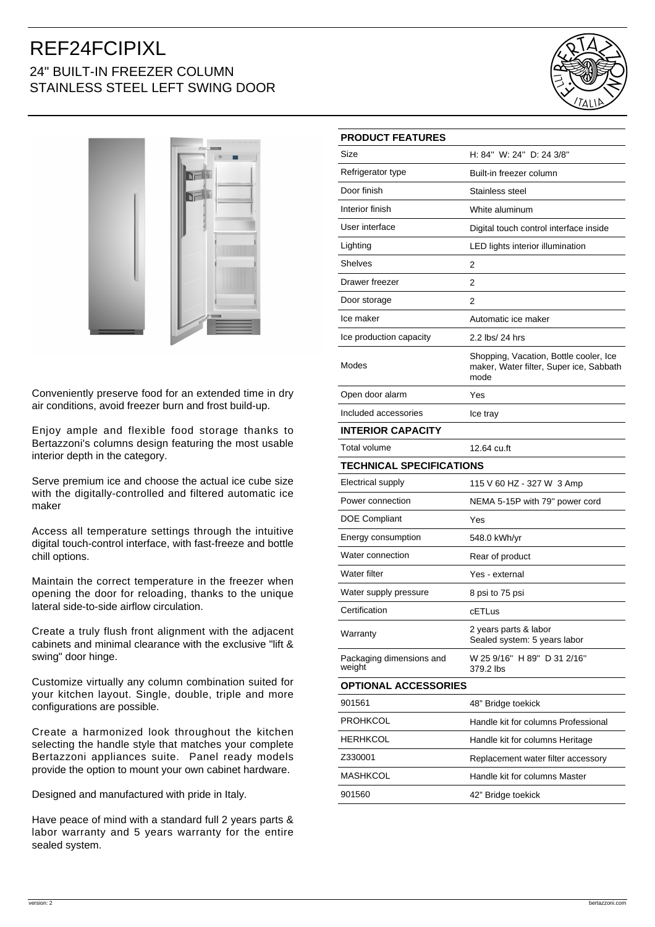## REF24FCIPIXL 24" BUILT-IN FREEZER COLUMN STAINLESS STEEL LEFT SWING DOOR





Conveniently preserve food for an extended time in dry air conditions, avoid freezer burn and frost build-up.

Enjoy ample and flexible food storage thanks to Bertazzoni's columns design featuring the most usable interior depth in the category.

Serve premium ice and choose the actual ice cube size with the digitally-controlled and filtered automatic ice maker

Access all temperature settings through the intuitive digital touch-control interface, with fast-freeze and bottle chill options.

Maintain the correct temperature in the freezer when opening the door for reloading, thanks to the unique lateral side-to-side airflow circulation.

Create a truly flush front alignment with the adjacent cabinets and minimal clearance with the exclusive "lift & swing" door hinge.

Customize virtually any column combination suited for your kitchen layout. Single, double, triple and more configurations are possible.

Create a harmonized look throughout the kitchen selecting the handle style that matches your complete Bertazzoni appliances suite. Panel ready models provide the option to mount your own cabinet hardware.

Designed and manufactured with pride in Italy.

Have peace of mind with a standard full 2 years parts & labor warranty and 5 years warranty for the entire sealed system.

| <b>PRODUCT FEATURES</b>            |                                                                                           |
|------------------------------------|-------------------------------------------------------------------------------------------|
| Size                               | H: 84" W: 24" D: 24 3/8"                                                                  |
| Refrigerator type                  | Built-in freezer column                                                                   |
| Door finish                        | Stainless steel                                                                           |
| Interior finish                    | White aluminum                                                                            |
| User interface                     | Digital touch control interface inside                                                    |
| Lighting                           | LED lights interior illumination                                                          |
| <b>Shelves</b>                     | 2                                                                                         |
| Drawer freezer                     | 2                                                                                         |
| Door storage                       | 2                                                                                         |
| Ice maker                          | Automatic ice maker                                                                       |
| Ice production capacity            | 2.2 lbs/ 24 hrs                                                                           |
| Modes                              | Shopping, Vacation, Bottle cooler, Ice<br>maker, Water filter, Super ice, Sabbath<br>mode |
| Open door alarm                    | Yes                                                                                       |
| Included accessories               | Ice tray                                                                                  |
| <b>INTERIOR CAPACITY</b>           |                                                                                           |
| <b>Total volume</b>                | 12.64 cu.ft                                                                               |
| TECHNICAL SPECIFICATIONS           |                                                                                           |
| Electrical supply                  | 115 V 60 HZ - 327 W 3 Amp                                                                 |
| Power connection                   | NEMA 5-15P with 79" power cord                                                            |
| DOE Compliant                      | Yes                                                                                       |
| Energy consumption                 | 548.0 kWh/yr                                                                              |
| Water connection                   | Rear of product                                                                           |
| Water filter                       | Yes - external                                                                            |
| Water supply pressure              | 8 psi to 75 psi                                                                           |
| Certification                      | cETLus                                                                                    |
| Warranty                           | 2 years parts & labor<br>Sealed system: 5 years labor                                     |
| Packaging dimensions and<br>weight | W 25 9/16" H 89" D 31 2/16"<br>379.2 lbs                                                  |
| <b>OPTIONAL ACCESSORIES</b>        |                                                                                           |
| 901561                             | 48" Bridge toekick                                                                        |
| PROHKCOL                           | Handle kit for columns Professional                                                       |
| HERHKCOL                           | Handle kit for columns Heritage                                                           |
| Z330001                            | Replacement water filter accessory                                                        |
| MASHKCOL                           | Handle kit for columns Master                                                             |
| 901560                             | 42" Bridge toekick                                                                        |